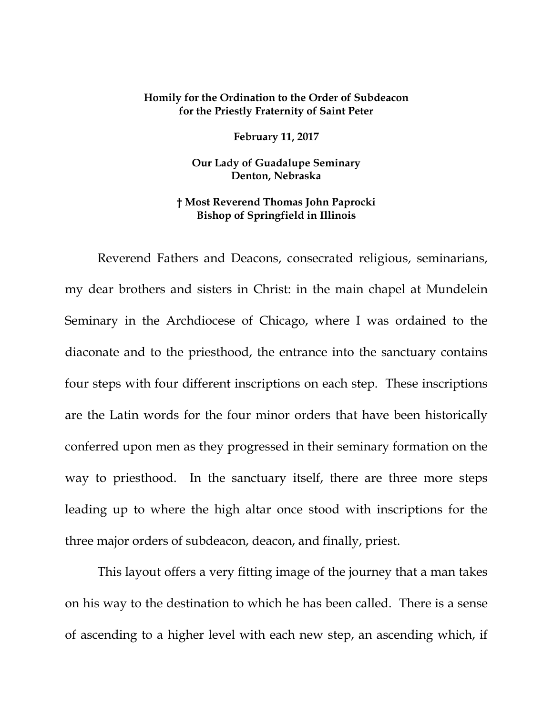## **Homily for the Ordination to the Order of Subdeacon for the Priestly Fraternity of Saint Peter**

**February 11, 2017**

**Our Lady of Guadalupe Seminary Denton, Nebraska**

## **† Most Reverend Thomas John Paprocki Bishop of Springfield in Illinois**

Reverend Fathers and Deacons, consecrated religious, seminarians, my dear brothers and sisters in Christ: in the main chapel at Mundelein Seminary in the Archdiocese of Chicago, where I was ordained to the diaconate and to the priesthood, the entrance into the sanctuary contains four steps with four different inscriptions on each step. These inscriptions are the Latin words for the four minor orders that have been historically conferred upon men as they progressed in their seminary formation on the way to priesthood. In the sanctuary itself, there are three more steps leading up to where the high altar once stood with inscriptions for the three major orders of subdeacon, deacon, and finally, priest.

This layout offers a very fitting image of the journey that a man takes on his way to the destination to which he has been called. There is a sense of ascending to a higher level with each new step, an ascending which, if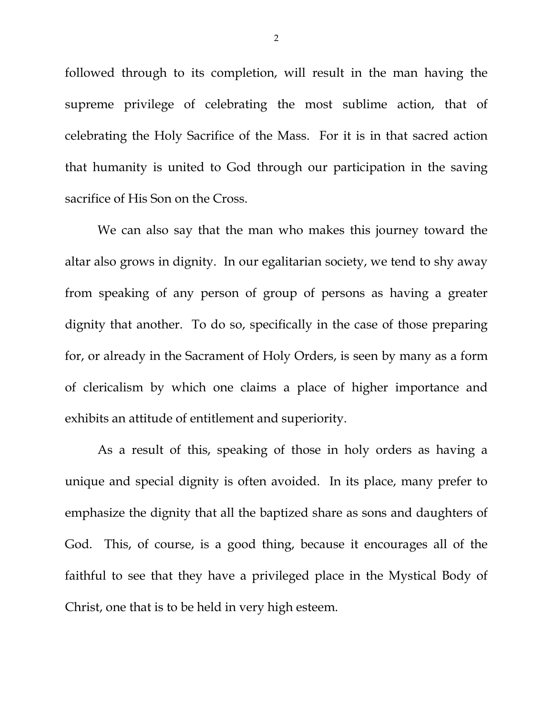followed through to its completion, will result in the man having the supreme privilege of celebrating the most sublime action, that of celebrating the Holy Sacrifice of the Mass. For it is in that sacred action that humanity is united to God through our participation in the saving sacrifice of His Son on the Cross.

We can also say that the man who makes this journey toward the altar also grows in dignity. In our egalitarian society, we tend to shy away from speaking of any person of group of persons as having a greater dignity that another. To do so, specifically in the case of those preparing for, or already in the Sacrament of Holy Orders, is seen by many as a form of clericalism by which one claims a place of higher importance and exhibits an attitude of entitlement and superiority.

As a result of this, speaking of those in holy orders as having a unique and special dignity is often avoided. In its place, many prefer to emphasize the dignity that all the baptized share as sons and daughters of God. This, of course, is a good thing, because it encourages all of the faithful to see that they have a privileged place in the Mystical Body of Christ, one that is to be held in very high esteem.

2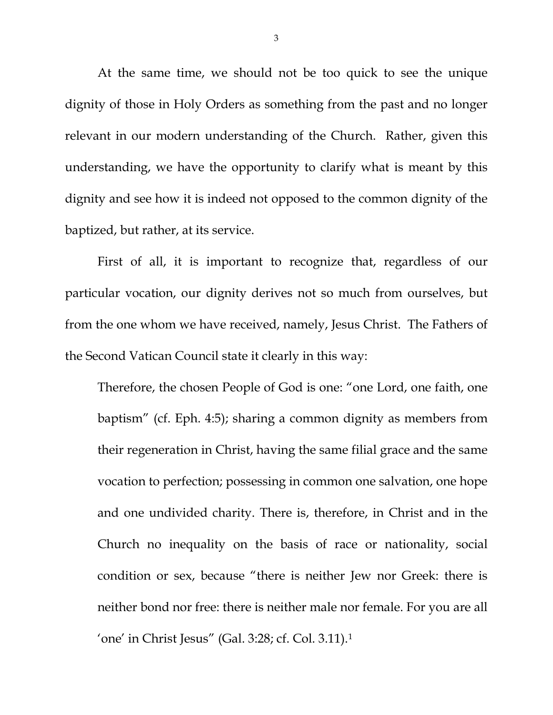At the same time, we should not be too quick to see the unique dignity of those in Holy Orders as something from the past and no longer relevant in our modern understanding of the Church. Rather, given this understanding, we have the opportunity to clarify what is meant by this dignity and see how it is indeed not opposed to the common dignity of the baptized, but rather, at its service.

First of all, it is important to recognize that, regardless of our particular vocation, our dignity derives not so much from ourselves, but from the one whom we have received, namely, Jesus Christ. The Fathers of the Second Vatican Council state it clearly in this way:

Therefore, the chosen People of God is one: "one Lord, one faith, one baptism" (cf. Eph. 4:5); sharing a common dignity as members from their regeneration in Christ, having the same filial grace and the same vocation to perfection; possessing in common one salvation, one hope and one undivided charity. There is, therefore, in Christ and in the Church no inequality on the basis of race or nationality, social condition or sex, because "there is neither Jew nor Greek: there is neither bond nor free: there is neither male nor female. For you are all 'one' in Christ Jesus" (Gal. 3:28; cf. Col. 3.11).[1](#page-6-0)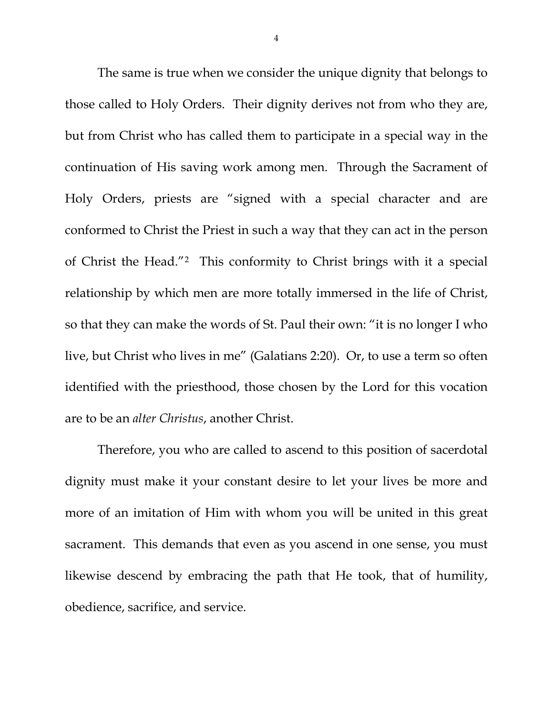The same is true when we consider the unique dignity that belongs to those called to Holy Orders. Their dignity derives not from who they are, but from Christ who has called them to participate in a special way in the continuation of His saving work among men. Through the Sacrament of Holy Orders, priests are "signed with a special character and are conformed to Christ the Priest in such a way that they can act in the person of Christ the Head."[2](#page-6-1) This conformity to Christ brings with it a special relationship by which men are more totally immersed in the life of Christ, so that they can make the words of St. Paul their own: "it is no longer I who live, but Christ who lives in me" (Galatians 2:20). Or, to use a term so often identified with the priesthood, those chosen by the Lord for this vocation are to be an *alter Christus*, another Christ.

Therefore, you who are called to ascend to this position of sacerdotal dignity must make it your constant desire to let your lives be more and more of an imitation of Him with whom you will be united in this great sacrament. This demands that even as you ascend in one sense, you must likewise descend by embracing the path that He took, that of humility, obedience, sacrifice, and service.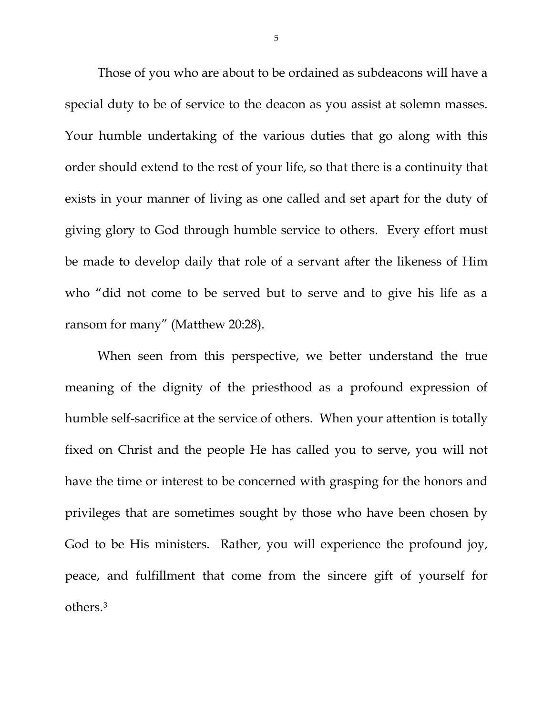Those of you who are about to be ordained as subdeacons will have a special duty to be of service to the deacon as you assist at solemn masses. Your humble undertaking of the various duties that go along with this order should extend to the rest of your life, so that there is a continuity that exists in your manner of living as one called and set apart for the duty of giving glory to God through humble service to others. Every effort must be made to develop daily that role of a servant after the likeness of Him who "did not come to be served but to serve and to give his life as a ransom for many" (Matthew 20:28).

When seen from this perspective, we better understand the true meaning of the dignity of the priesthood as a profound expression of humble self-sacrifice at the service of others. When your attention is totally fixed on Christ and the people He has called you to serve, you will not have the time or interest to be concerned with grasping for the honors and privileges that are sometimes sought by those who have been chosen by God to be His ministers. Rather, you will experience the profound joy, peace, and fulfillment that come from the sincere gift of yourself for others.[3](#page-6-2)

5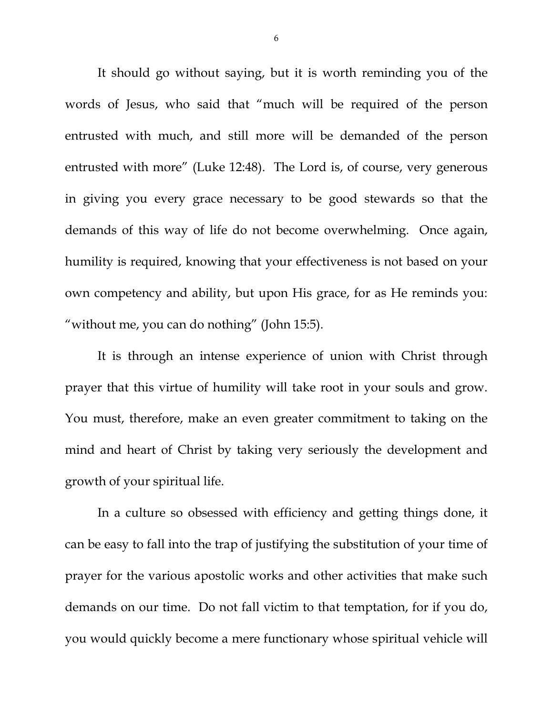It should go without saying, but it is worth reminding you of the words of Jesus, who said that "much will be required of the person entrusted with much, and still more will be demanded of the person entrusted with more" (Luke 12:48). The Lord is, of course, very generous in giving you every grace necessary to be good stewards so that the demands of this way of life do not become overwhelming. Once again, humility is required, knowing that your effectiveness is not based on your own competency and ability, but upon His grace, for as He reminds you: "without me, you can do nothing" (John 15:5).

It is through an intense experience of union with Christ through prayer that this virtue of humility will take root in your souls and grow. You must, therefore, make an even greater commitment to taking on the mind and heart of Christ by taking very seriously the development and growth of your spiritual life.

In a culture so obsessed with efficiency and getting things done, it can be easy to fall into the trap of justifying the substitution of your time of prayer for the various apostolic works and other activities that make such demands on our time. Do not fall victim to that temptation, for if you do, you would quickly become a mere functionary whose spiritual vehicle will

6